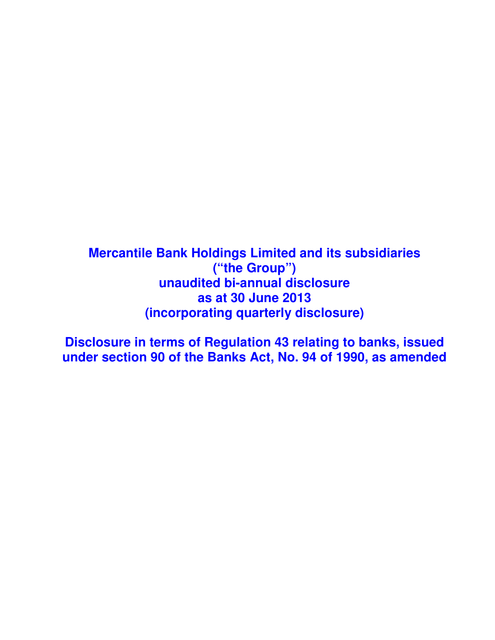**Mercantile Bank Holdings Limited and its subsidiaries ("the Group") unaudited bi-annual disclosure as at 30 June 2013 (incorporating quarterly disclosure)** 

**Disclosure in terms of Regulation 43 relating to banks, issued under section 90 of the Banks Act, No. 94 of 1990, as amended**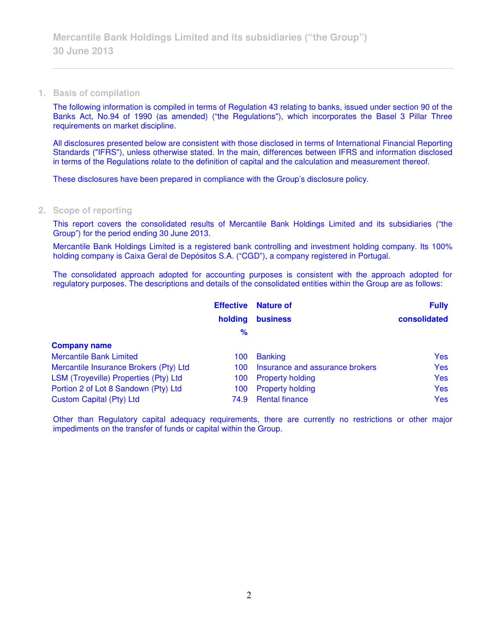**1. Basis of compilation** 

The following information is compiled in terms of Regulation 43 relating to banks, issued under section 90 of the Banks Act, No.94 of 1990 (as amended) ("the Regulations"), which incorporates the Basel 3 Pillar Three requirements on market discipline.

All disclosures presented below are consistent with those disclosed in terms of International Financial Reporting Standards ("IFRS"), unless otherwise stated. In the main, differences between IFRS and information disclosed in terms of the Regulations relate to the definition of capital and the calculation and measurement thereof.

These disclosures have been prepared in compliance with the Group's disclosure policy.

### **2. Scope of reporting**

This report covers the consolidated results of Mercantile Bank Holdings Limited and its subsidiaries ("the Group") for the period ending 30 June 2013.

Mercantile Bank Holdings Limited is a registered bank controlling and investment holding company. Its 100% holding company is Caixa Geral de Depósitos S.A. ("CGD"), a company registered in Portugal.

The consolidated approach adopted for accounting purposes is consistent with the approach adopted for regulatory purposes. The descriptions and details of the consolidated entities within the Group are as follows:

|                                        | <b>Effective</b> | <b>Nature of</b>                | <b>Fully</b> |
|----------------------------------------|------------------|---------------------------------|--------------|
|                                        | holding          | <b>business</b>                 | consolidated |
|                                        | %                |                                 |              |
| <b>Company name</b>                    |                  |                                 |              |
| <b>Mercantile Bank Limited</b>         | 100              | <b>Banking</b>                  | <b>Yes</b>   |
| Mercantile Insurance Brokers (Pty) Ltd | 100              | Insurance and assurance brokers | <b>Yes</b>   |
| LSM (Troyeville) Properties (Pty) Ltd  | 100              | <b>Property holding</b>         | <b>Yes</b>   |
| Portion 2 of Lot 8 Sandown (Pty) Ltd   | 100              | <b>Property holding</b>         | <b>Yes</b>   |
| <b>Custom Capital (Pty) Ltd</b>        | 74.9             | <b>Rental finance</b>           | <b>Yes</b>   |

Other than Regulatory capital adequacy requirements, there are currently no restrictions or other major impediments on the transfer of funds or capital within the Group.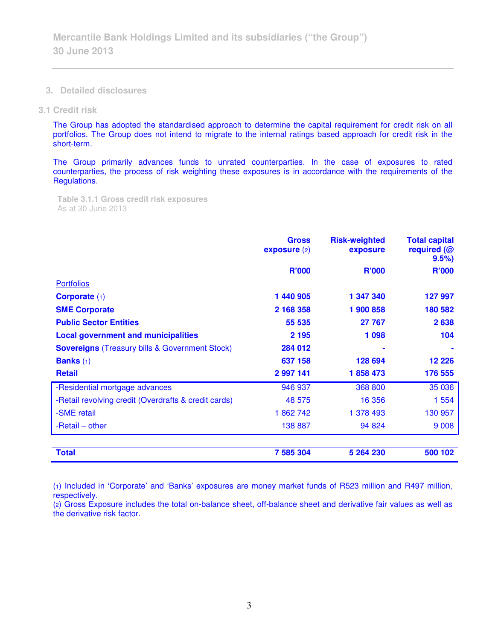**3. Detailed disclosures** 

#### **3.1 Credit risk**

The Group has adopted the standardised approach to determine the capital requirement for credit risk on all portfolios. The Group does not intend to migrate to the internal ratings based approach for credit risk in the short-term.

The Group primarily advances funds to unrated counterparties. In the case of exposures to rated counterparties, the process of risk weighting these exposures is in accordance with the requirements of the Regulations.

**Table 3.1.1 Gross credit risk exposures**  As at 30 June 2013

|                                                       | <b>Gross</b><br>expasure(2) | <b>Risk-weighted</b><br>exposure | <b>Total capital</b><br>required (@<br>9.5% |
|-------------------------------------------------------|-----------------------------|----------------------------------|---------------------------------------------|
|                                                       | <b>R'000</b>                | <b>R'000</b>                     | <b>R'000</b>                                |
| <b>Portfolios</b>                                     |                             |                                  |                                             |
| Corporate $(1)$                                       | 1 440 905                   | 1 347 340                        | 127 997                                     |
| <b>SME Corporate</b>                                  | 2 168 358                   | 1 900 858                        | 180 582                                     |
| <b>Public Sector Entities</b>                         | 55 535                      | 27 767                           | 2638                                        |
| <b>Local government and municipalities</b>            | 2 1 9 5                     | 1 0 9 8                          | 104                                         |
| <b>Sovereigns</b> (Treasury bills & Government Stock) | 284 012                     |                                  |                                             |
| <b>Banks</b> $(1)$                                    | 637 158                     | 128 694                          | 12 2 26                                     |
| <b>Retail</b>                                         | 2 997 141                   | 1858473                          | 176 555                                     |
| -Residential mortgage advances                        | 946 937                     | 368 800                          | 35 0 36                                     |
| -Retail revolving credit (Overdrafts & credit cards)  | 48 575                      | 16 356                           | 1 554                                       |
| -SME retail                                           | 1862742                     | 1 378 493                        | 130 957                                     |
| -Retail – other                                       | 138 887                     | 94 824                           | 9 0 0 8                                     |
|                                                       |                             |                                  |                                             |
| <b>Total</b>                                          | 7 585 304                   | 5 264 230                        | 500 102                                     |

(1) Included in 'Corporate' and 'Banks' exposures are money market funds of R523 million and R497 million, respectively.

(2) Gross Exposure includes the total on-balance sheet, off-balance sheet and derivative fair values as well as the derivative risk factor.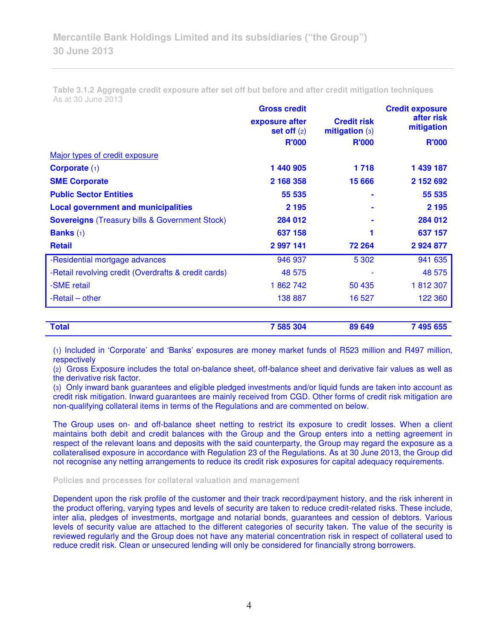**Table 3.1.2 Aggregate credit exposure after set off but before and after credit mitigation techniques**  As at 30 June 2013

|                                                       | <b>Gross credit</b>             |                                      | <b>Credit exposure</b>   |  |
|-------------------------------------------------------|---------------------------------|--------------------------------------|--------------------------|--|
|                                                       | exposure after<br>set off $(2)$ | <b>Credit risk</b><br>mitigation (3) | after risk<br>mitigation |  |
|                                                       | <b>R'000</b>                    | <b>R'000</b>                         | <b>R'000</b>             |  |
| Major types of credit exposure                        |                                 |                                      |                          |  |
| Corporate $(1)$                                       | 1 440 905                       | 1718                                 | 1 439 187                |  |
| <b>SME Corporate</b>                                  | 2 168 358                       | 15 6 66                              | 2 152 692                |  |
| <b>Public Sector Entities</b>                         | 55 535                          |                                      | 55 535                   |  |
| <b>Local government and municipalities</b>            | 2 1 9 5                         |                                      | 2 1 9 5                  |  |
| <b>Sovereigns</b> (Treasury bills & Government Stock) | 284 012                         |                                      | 284 012                  |  |
| <b>Banks</b> $(1)$                                    | 637 158                         |                                      | 637 157                  |  |
| <b>Retail</b>                                         | 2 997 141                       | 72 264                               | 2 9 2 4 8 7 7            |  |
| -Residential mortgage advances                        | 946 937                         | 5 3 0 2                              | 941 635                  |  |
| -Retail revolving credit (Overdrafts & credit cards)  | 48 575                          |                                      | 48 575                   |  |
| -SME retail                                           | 1862742                         | 50 435                               | 1812307                  |  |
| -Retail – other                                       | 138 887                         | 16 527                               | 122 360                  |  |
|                                                       |                                 |                                      |                          |  |
| <b>Total</b>                                          | 7 585 304                       | 89 649                               | 7 495 655                |  |

(1) Included in 'Corporate' and 'Banks' exposures are money market funds of R523 million and R497 million, respectively

(2) Gross Exposure includes the total on-balance sheet, off-balance sheet and derivative fair values as well as the derivative risk factor.

(3) Only inward bank guarantees and eligible pledged investments and/or liquid funds are taken into account as credit risk mitigation. Inward guarantees are mainly received from CGD. Other forms of credit risk mitigation are non-qualifying collateral items in terms of the Regulations and are commented on below.

The Group uses on- and off-balance sheet netting to restrict its exposure to credit losses. When a client maintains both debit and credit balances with the Group and the Group enters into a netting agreement in respect of the relevant loans and deposits with the said counterparty, the Group may regard the exposure as a collateralised exposure in accordance with Regulation 23 of the Regulations. As at 30 June 2013, the Group did not recognise any netting arrangements to reduce its credit risk exposures for capital adequacy requirements.

#### **Policies and processes for collateral valuation and management**

Dependent upon the risk profile of the customer and their track record/payment history, and the risk inherent in the product offering, varying types and levels of security are taken to reduce credit-related risks. These include, inter alia, pledges of investments, mortgage and notarial bonds, guarantees and cession of debtors. Various levels of security value are attached to the different categories of security taken. The value of the security is reviewed regularly and the Group does not have any material concentration risk in respect of collateral used to reduce credit risk. Clean or unsecured lending will only be considered for financially strong borrowers.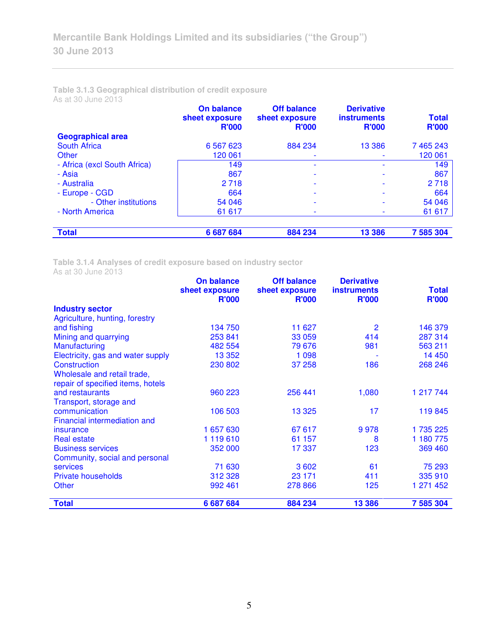### **Table 3.1.3 Geographical distribution of credit exposure**  As at 30 June 2013

|                              | On balance<br>sheet exposure<br><b>R'000</b> | <b>Off balance</b><br>sheet exposure<br><b>R'000</b> | <b>Derivative</b><br><b>instruments</b><br><b>R'000</b> | <b>Total</b><br><b>R'000</b> |
|------------------------------|----------------------------------------------|------------------------------------------------------|---------------------------------------------------------|------------------------------|
| <b>Geographical area</b>     |                                              |                                                      |                                                         |                              |
| South Africa                 | 6 5 6 7 6 2 3                                | 884 234                                              | 13 3 86                                                 | 7 465 243                    |
| Other                        | 120 061                                      |                                                      |                                                         | 120 061                      |
| - Africa (excl South Africa) | 149                                          |                                                      | ۰                                                       | 149                          |
| - Asia                       | 867                                          |                                                      |                                                         | 867                          |
| - Australia                  | 2 7 1 8                                      |                                                      |                                                         | 2 7 1 8                      |
| - Europe - CGD               | 664                                          |                                                      |                                                         | 664                          |
| - Other institutions         | 54 046                                       |                                                      |                                                         | 54 046                       |
| - North America              | 61 617                                       |                                                      |                                                         | 61 617                       |
| <b>Total</b>                 | 6 687 684                                    | 884 234                                              | 13 3 86                                                 | 7 585 304                    |

**Table 3.1.4 Analyses of credit exposure based on industry sector** 

As at 30 June 2013

|                                     | <b>On balance</b><br>sheet exposure | <b>Off balance</b><br>sheet exposure | <b>Derivative</b><br><b>instruments</b> | <b>Total</b> |
|-------------------------------------|-------------------------------------|--------------------------------------|-----------------------------------------|--------------|
|                                     | <b>R'000</b>                        | <b>R'000</b>                         | <b>R'000</b>                            | <b>R'000</b> |
| <b>Industry sector</b>              |                                     |                                      |                                         |              |
| Agriculture, hunting, forestry      |                                     |                                      |                                         |              |
| and fishing                         | 134 750                             | 11 627                               | $\overline{2}$                          | 146 379      |
| Mining and quarrying                | 253 841                             | 33 059                               | 414                                     | 287 314      |
| <b>Manufacturing</b>                | 482 554                             | 79 676                               | 981                                     | 563 211      |
| Electricity, gas and water supply   | 13 352                              | 1 0 9 8                              |                                         | 14 450       |
| Construction                        | 230 802                             | 37 258                               | 186                                     | 268 246      |
| Wholesale and retail trade,         |                                     |                                      |                                         |              |
| repair of specified items, hotels   |                                     |                                      |                                         |              |
| and restaurants                     | 960 223                             | 256 441                              | 1,080                                   | 1 217 744    |
| Transport, storage and              |                                     |                                      |                                         |              |
| communication                       | 106 503                             | 13 3 25                              | 17                                      | 119 845      |
| <b>Financial intermediation and</b> |                                     |                                      |                                         |              |
| insurance                           | 1 657 630                           | 67 617                               | 9978                                    | 1 735 225    |
| <b>Real estate</b>                  | 1119610                             | 61 157                               | 8                                       | 1 180 775    |
| <b>Business services</b>            | 352 000                             | 17 337                               | 123                                     | 369 460      |
| Community, social and personal      |                                     |                                      |                                         |              |
| <b>services</b>                     | 71 630                              | 3 6 0 2                              | 61                                      | 75 293       |
| <b>Private households</b>           | 312 328                             | 23 171                               | 411                                     | 335 910      |
| Other                               | 992 461                             | 278 866                              | 125                                     | 1 271 452    |
| <b>Total</b>                        | 6 687 684                           | 884 234                              | 13 386                                  | 7 585 304    |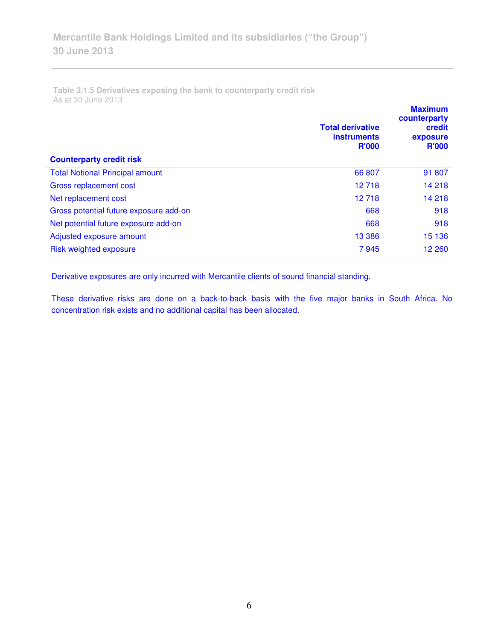**Table 3.1.5 Derivatives exposing the bank to counterparty credit risk**  As at 30 June 2013

| <b>Counterparty credit risk</b>        | <b>Total derivative</b><br><b>instruments</b><br><b>R'000</b> | <b>Maximum</b><br>counterparty<br>credit<br>exposure<br><b>R'000</b> |
|----------------------------------------|---------------------------------------------------------------|----------------------------------------------------------------------|
| <b>Total Notional Principal amount</b> | 66 807                                                        | 91 807                                                               |
| Gross replacement cost                 | 12 718                                                        | 14 218                                                               |
|                                        |                                                               |                                                                      |
| Net replacement cost                   | 12 718                                                        | 14 218                                                               |
| Gross potential future exposure add-on | 668                                                           | 918                                                                  |
| Net potential future exposure add-on   | 668                                                           | 918                                                                  |
| Adjusted exposure amount               | 13 3 86                                                       | 15 136                                                               |
| Risk weighted exposure                 | 7945                                                          | 12 260                                                               |

Derivative exposures are only incurred with Mercantile clients of sound financial standing.

These derivative risks are done on a back-to-back basis with the five major banks in South Africa. No concentration risk exists and no additional capital has been allocated.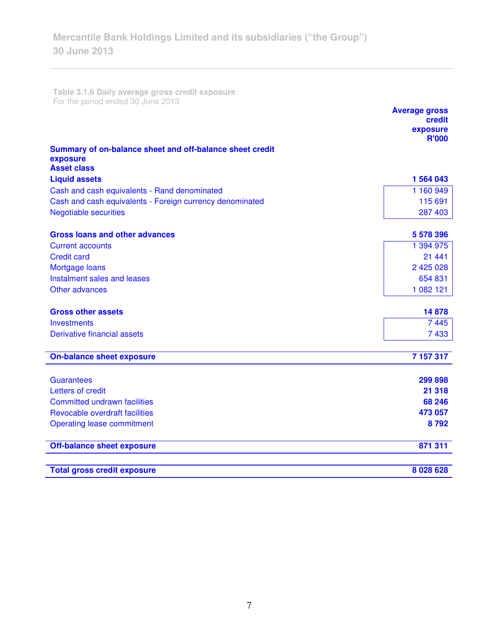**Table 3.1.6 Daily average gross credit exposure**  For the period ended 30 June 2013

|                                                          | <b>Average gross</b><br>credit<br>exposure |
|----------------------------------------------------------|--------------------------------------------|
|                                                          | <b>R'000</b>                               |
| Summary of on-balance sheet and off-balance sheet credit |                                            |
| exposure<br><b>Asset class</b>                           |                                            |
| <b>Liquid assets</b>                                     | 1 564 043                                  |
| Cash and cash equivalents - Rand denominated             | 1 160 949                                  |
| Cash and cash equivalents - Foreign currency denominated | 115 691                                    |
| <b>Negotiable securities</b>                             | 287 403                                    |
|                                                          |                                            |
| <b>Gross loans and other advances</b>                    | 5 578 396                                  |
| <b>Current accounts</b>                                  | 1 394 975                                  |
| <b>Credit card</b>                                       | 21 4 4 1                                   |
| Mortgage loans                                           | 2 425 028                                  |
| Instalment sales and leases                              | 654 831                                    |
| Other advances                                           | 1 082 121                                  |
| <b>Gross other assets</b>                                | 14878                                      |
|                                                          |                                            |
| <b>Investments</b><br>Derivative financial assets        | 7445                                       |
|                                                          | 7433                                       |
| <b>On-balance sheet exposure</b>                         | 7 157 317                                  |
| <b>Guarantees</b>                                        | 299 898                                    |
| Letters of credit                                        | 21 318                                     |
| <b>Committed undrawn facilities</b>                      | 68 246                                     |
| Revocable overdraft facilities                           | 473 057                                    |
| <b>Operating lease commitment</b>                        | 8792                                       |
|                                                          |                                            |
| <b>Off-balance sheet exposure</b>                        | 871 311                                    |
|                                                          |                                            |
| <b>Total gross credit exposure</b>                       | 8 0 28 6 28                                |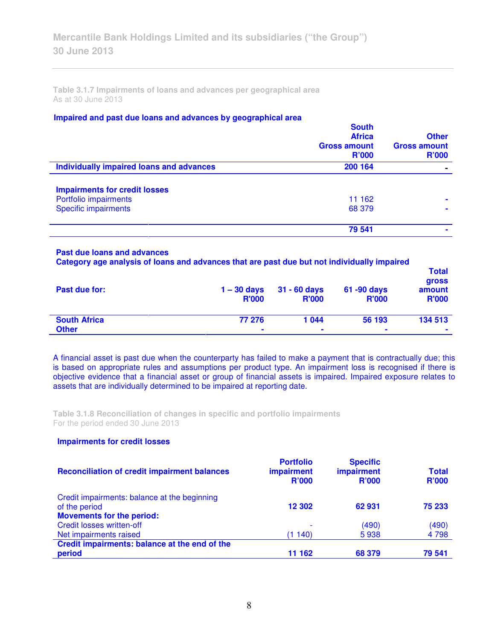**Table 3.1.7 Impairments of loans and advances per geographical area**  As at 30 June 2013

### **Impaired and past due loans and advances by geographical area**

|                                          | <b>South</b><br><b>Africa</b><br><b>Gross amount</b><br><b>R'000</b> | <b>Other</b><br><b>Gross amount</b><br>R'000 |
|------------------------------------------|----------------------------------------------------------------------|----------------------------------------------|
| Individually impaired loans and advances | 200 164                                                              |                                              |
| <b>Impairments for credit losses</b>     |                                                                      |                                              |
| Portfolio impairments                    | 11 162                                                               | $\blacksquare$                               |
| <b>Specific impairments</b>              | 68 379                                                               |                                              |
|                                          | 79 541                                                               |                                              |
|                                          |                                                                      |                                              |

#### **Past due loans and advances**

**Category age analysis of loans and advances that are past due but not individually impaired** 

| Past due for:       | $1 - 30$ days<br><b>R'000</b> | $31 - 60$ days<br><b>R'000</b> | 61 -90 days<br><b>R'000</b> | <b>Total</b><br><b>gross</b><br>amount<br><b>R'000</b> |
|---------------------|-------------------------------|--------------------------------|-----------------------------|--------------------------------------------------------|
| <b>South Africa</b> | 77 276                        | 1044                           | 56 193                      | 134 513                                                |
| <b>Other</b>        | ۰                             | $\blacksquare$                 | $\blacksquare$              | ۰                                                      |

A financial asset is past due when the counterparty has failed to make a payment that is contractually due; this is based on appropriate rules and assumptions per product type. An impairment loss is recognised if there is objective evidence that a financial asset or group of financial assets is impaired. Impaired exposure relates to assets that are individually determined to be impaired at reporting date.

**Table 3.1.8 Reconciliation of changes in specific and portfolio impairments**  For the period ended 30 June 2013

### **Impairments for credit losses**

| <b>Reconciliation of credit impairment balances</b>                                               | <b>Portfolio</b><br><b>impairment</b><br><b>R'000</b> | <b>Specific</b><br>impairment<br><b>R'000</b> | <b>Total</b><br><b>R'000</b> |
|---------------------------------------------------------------------------------------------------|-------------------------------------------------------|-----------------------------------------------|------------------------------|
| Credit impairments: balance at the beginning<br>of the period<br><b>Movements for the period:</b> | 12 302                                                | 62931                                         | 75 233                       |
| <b>Credit losses written-off</b>                                                                  |                                                       | (490)                                         | (490)                        |
| Net impairments raised                                                                            | (1140)                                                | 5938                                          | 4 7 9 8                      |
| Credit impairments: balance at the end of the                                                     |                                                       |                                               |                              |
| period                                                                                            | 11 162                                                | 68 379                                        | 79 541                       |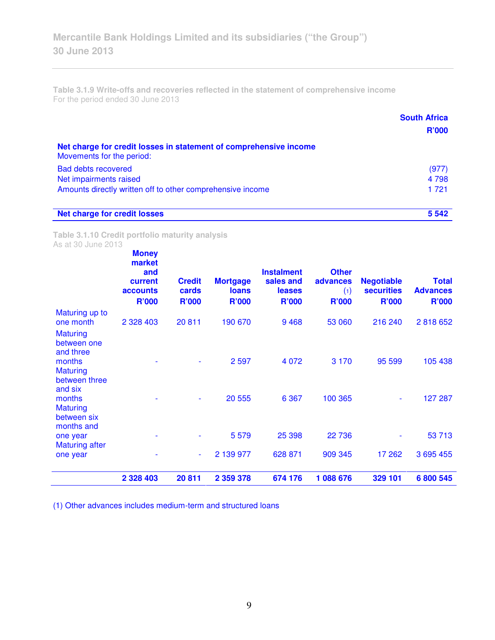**Table 3.1.9 Write-offs and recoveries reflected in the statement of comprehensive income**  For the period ended 30 June 2013

|                                                                                                | <b>South Africa</b><br>R'000 |
|------------------------------------------------------------------------------------------------|------------------------------|
|                                                                                                |                              |
| Net charge for credit losses in statement of comprehensive income<br>Movements for the period: |                              |
| <b>Bad debts recovered</b>                                                                     | (977)                        |
| Net impairments raised                                                                         | 4 7 9 8                      |
| Amounts directly written off to other comprehensive income                                     | 1 7 2 1                      |
| <b>Net charge for credit losses</b>                                                            | 5 5 4 2                      |

**Table 3.1.10 Credit portfolio maturity analysis**  As at 30 June 2013

|                                                        | <b>Money</b><br>market<br>and<br>current<br>accounts<br><b>R'000</b> | <b>Credit</b><br>cards<br><b>R'000</b> | <b>Mortgage</b><br><b>loans</b><br><b>R'000</b> | <b>Instalment</b><br>sales and<br>leases<br><b>R'000</b> | <b>Other</b><br>advances<br>(1)<br><b>R'000</b> | <b>Negotiable</b><br><b>securities</b><br><b>R'000</b> | <b>Total</b><br><b>Advances</b><br><b>R'000</b> |
|--------------------------------------------------------|----------------------------------------------------------------------|----------------------------------------|-------------------------------------------------|----------------------------------------------------------|-------------------------------------------------|--------------------------------------------------------|-------------------------------------------------|
| Maturing up to<br>one month                            | 2 3 28 4 0 3                                                         | 20811                                  | 190 670                                         | 9468                                                     | 53 060                                          | 216 240                                                | 2818652                                         |
| <b>Maturing</b><br>between one<br>and three            |                                                                      |                                        |                                                 |                                                          |                                                 |                                                        |                                                 |
| months<br><b>Maturing</b><br>between three<br>and six  |                                                                      |                                        | 2 5 9 7                                         | 4 0 7 2                                                  | 3 1 7 0                                         | 95 599                                                 | 105 438                                         |
| months<br><b>Maturing</b><br>between six<br>months and |                                                                      |                                        | 20 555                                          | 6 3 6 7                                                  | 100 365                                         | $\overline{\phantom{0}}$                               | 127 287                                         |
| one year<br><b>Maturing after</b>                      |                                                                      |                                        | 5 5 7 9                                         | 25 398                                                   | 22 736                                          |                                                        | 53 713                                          |
| one year                                               |                                                                      | $\blacksquare$                         | 2 139 977                                       | 628 871                                                  | 909 345                                         | 17 262                                                 | 3 695 455                                       |
|                                                        | 2 3 2 8 4 0 3                                                        | 20811                                  | 2 359 378                                       | 674 176                                                  | 1088676                                         | 329 101                                                | 6 800 545                                       |

(1) Other advances includes medium-term and structured loans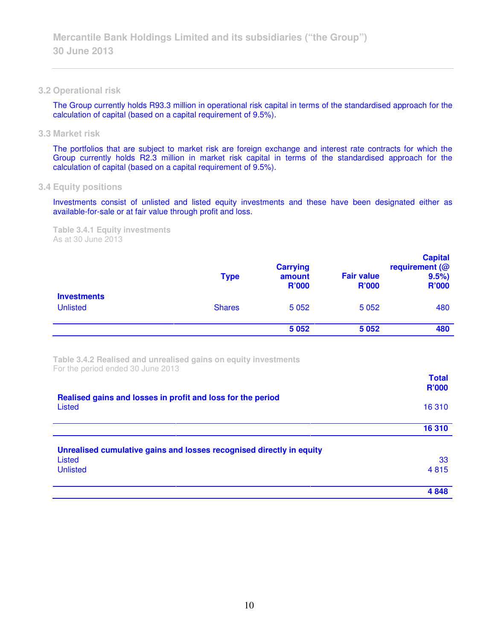#### **3.2 Operational risk**

The Group currently holds R93.3 million in operational risk capital in terms of the standardised approach for the calculation of capital (based on a capital requirement of 9.5%).

**3.3 Market risk** 

The portfolios that are subject to market risk are foreign exchange and interest rate contracts for which the Group currently holds R2.3 million in market risk capital in terms of the standardised approach for the calculation of capital (based on a capital requirement of 9.5%).

### **3.4 Equity positions**

Investments consist of unlisted and listed equity investments and these have been designated either as available-for-sale or at fair value through profit and loss.

**Table 3.4.1 Equity investments**  As at 30 June 2013

|                                       | <b>Type</b>   | <b>Carrying</b><br>amount<br><b>R'000</b> | <b>Fair value</b><br><b>R'000</b> | <b>Capital</b><br>requirement $(@)$<br>9.5%<br><b>R'000</b> |
|---------------------------------------|---------------|-------------------------------------------|-----------------------------------|-------------------------------------------------------------|
| <b>Investments</b><br><b>Unlisted</b> | <b>Shares</b> | 5 0 5 2                                   | 5 0 5 2                           | 480                                                         |
|                                       |               | 5 0 5 2                                   | 5 0 5 2                           | 480                                                         |

**Table 3.4.2 Realised and unrealised gains on equity investments**  For the period ended 30 June 2013

|                                                                      | 4848         |
|----------------------------------------------------------------------|--------------|
| <b>Unlisted</b>                                                      | 4815         |
| Listed                                                               | 33           |
| Unrealised cumulative gains and losses recognised directly in equity |              |
|                                                                      | 16 310       |
|                                                                      |              |
| Listed                                                               | 16 310       |
| Realised gains and losses in profit and loss for the period          | <b>R'000</b> |

**Total**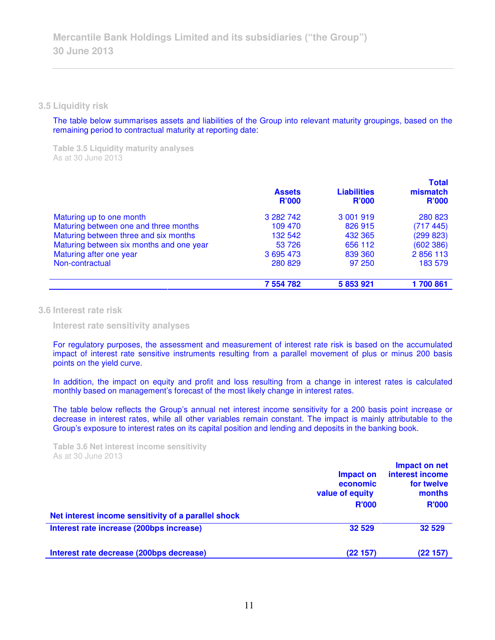**3.5 Liquidity risk** 

The table below summarises assets and liabilities of the Group into relevant maturity groupings, based on the remaining period to contractual maturity at reporting date:

**Table 3.5 Liquidity maturity analyses**  As at 30 June 2013

|                                          | <b>Assets</b><br><b>R'000</b> | <b>Liabilities</b><br><b>R'000</b> | <b>Total</b><br>mismatch<br>R'000 |
|------------------------------------------|-------------------------------|------------------------------------|-----------------------------------|
| Maturing up to one month                 | 3 282 742                     | 3 001 919                          | 280 823                           |
| Maturing between one and three months    | 109 470                       | 826 915                            | (717445)                          |
| Maturing between three and six months    | 132 542                       | 432 365                            | (299 823)                         |
| Maturing between six months and one year | 53 726                        | 656 112                            | (602 386)                         |
| Maturing after one year                  | 3 695 473                     | 839 360                            | 2856113                           |
| Non-contractual                          | 280 829                       | 97 250                             | 183 579                           |
|                                          | 7 554 782                     | 5 853 921                          | 1 700 861                         |

**3.6 Interest rate risk** 

 **Interest rate sensitivity analyses** 

For regulatory purposes, the assessment and measurement of interest rate risk is based on the accumulated impact of interest rate sensitive instruments resulting from a parallel movement of plus or minus 200 basis points on the yield curve.

In addition, the impact on equity and profit and loss resulting from a change in interest rates is calculated monthly based on management's forecast of the most likely change in interest rates.

The table below reflects the Group's annual net interest income sensitivity for a 200 basis point increase or decrease in interest rates, while all other variables remain constant. The impact is mainly attributable to the Group's exposure to interest rates on its capital position and lending and deposits in the banking book.

**Table 3.6 Net interest income sensitivity**  As at 30 June 2013

|                                                     | Impact on<br>economic<br>value of equity | Impact on net<br>interest income<br>for twelve<br>months |
|-----------------------------------------------------|------------------------------------------|----------------------------------------------------------|
|                                                     | <b>R'000</b>                             | <b>R'000</b>                                             |
| Net interest income sensitivity of a parallel shock |                                          |                                                          |
| Interest rate increase (200bps increase)            | 32 529                                   | 32 529                                                   |
| Interest rate decrease (200bps decrease)            | (22157)                                  | (22 157)                                                 |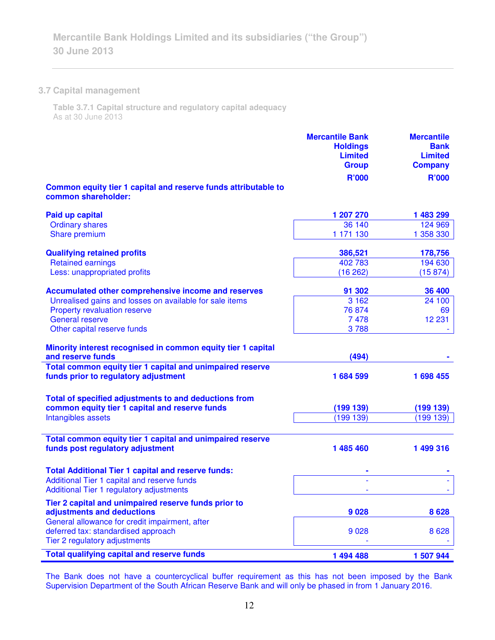## **3.7 Capital management**

**Table 3.7.1 Capital structure and regulatory capital adequacy**  As at 30 June 2013

|                                                                                       | <b>Mercantile Bank</b><br><b>Holdings</b><br><b>Limited</b><br><b>Group</b> | <b>Mercantile</b><br><b>Bank</b><br><b>Limited</b><br><b>Company</b> |
|---------------------------------------------------------------------------------------|-----------------------------------------------------------------------------|----------------------------------------------------------------------|
|                                                                                       | <b>R'000</b>                                                                | <b>R'000</b>                                                         |
| Common equity tier 1 capital and reserve funds attributable to<br>common shareholder: |                                                                             |                                                                      |
| <b>Paid up capital</b>                                                                | 1 207 270                                                                   | 1 483 299                                                            |
| <b>Ordinary shares</b>                                                                | 36 140                                                                      | 124 969                                                              |
| Share premium                                                                         | 1 171 130                                                                   | 1 358 330                                                            |
| <b>Qualifying retained profits</b>                                                    | 386,521                                                                     | 178,756                                                              |
| <b>Retained earnings</b>                                                              | 402 783                                                                     | 194 630                                                              |
| Less: unappropriated profits                                                          | (16262)                                                                     | (15 874)                                                             |
| <b>Accumulated other comprehensive income and reserves</b>                            | 91 302                                                                      | 36 400                                                               |
| Unrealised gains and losses on available for sale items                               | 3 1 6 2                                                                     | 24 100                                                               |
| <b>Property revaluation reserve</b>                                                   | 76 874                                                                      | 69                                                                   |
| <b>General reserve</b>                                                                | 7478                                                                        | 12 231                                                               |
| Other capital reserve funds                                                           | 3788                                                                        |                                                                      |
| Minority interest recognised in common equity tier 1 capital<br>and reserve funds     | (494)                                                                       |                                                                      |
| Total common equity tier 1 capital and unimpaired reserve                             |                                                                             |                                                                      |
| funds prior to regulatory adjustment                                                  | 1684599                                                                     | 1 698 455                                                            |
| Total of specified adjustments to and deductions from                                 |                                                                             |                                                                      |
| common equity tier 1 capital and reserve funds                                        | (199139)                                                                    | (199139)                                                             |
| Intangibles assets                                                                    | (199 139)                                                                   | (199 139)                                                            |
|                                                                                       |                                                                             |                                                                      |
| Total common equity tier 1 capital and unimpaired reserve                             |                                                                             |                                                                      |
| funds post regulatory adjustment                                                      | 1 485 460                                                                   | 1 499 316                                                            |
| <b>Total Additional Tier 1 capital and reserve funds:</b>                             |                                                                             |                                                                      |
| Additional Tier 1 capital and reserve funds                                           |                                                                             |                                                                      |
| <b>Additional Tier 1 regulatory adjustments</b>                                       |                                                                             |                                                                      |
| Tier 2 capital and unimpaired reserve funds prior to                                  |                                                                             |                                                                      |
| adjustments and deductions                                                            | 9028                                                                        | 8628                                                                 |
| General allowance for credit impairment, after                                        |                                                                             |                                                                      |
| deferred tax: standardised approach                                                   | 9028                                                                        | 8628                                                                 |
| Tier 2 regulatory adjustments                                                         |                                                                             |                                                                      |
| <b>Total qualifying capital and reserve funds</b>                                     | 1 494 488                                                                   | 1 507 944                                                            |

The Bank does not have a countercyclical buffer requirement as this has not been imposed by the Bank Supervision Department of the South African Reserve Bank and will only be phased in from 1 January 2016.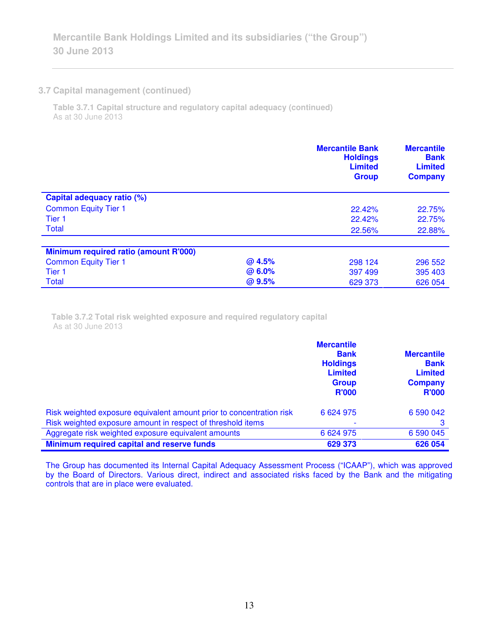### **3.7 Capital management (continued)**

j,

**Table 3.7.1 Capital structure and regulatory capital adequacy (continued)** As at 30 June 2013

|                                       |        | <b>Mercantile Bank</b><br><b>Holdings</b><br><b>Limited</b><br><b>Group</b> | <b>Mercantile</b><br><b>Bank</b><br><b>Limited</b><br><b>Company</b> |
|---------------------------------------|--------|-----------------------------------------------------------------------------|----------------------------------------------------------------------|
| Capital adequacy ratio (%)            |        |                                                                             |                                                                      |
| <b>Common Equity Tier 1</b>           |        | 22.42%                                                                      | 22.75%                                                               |
| Tier <sub>1</sub>                     |        | 22.42%                                                                      | 22.75%                                                               |
| Total                                 |        | 22.56%                                                                      | 22.88%                                                               |
| Minimum required ratio (amount R'000) |        |                                                                             |                                                                      |
| <b>Common Equity Tier 1</b>           | @ 4.5% | 298 124                                                                     | 296 552                                                              |
| Tier <sub>1</sub>                     | @ 6.0% | 397 499                                                                     | 395 403                                                              |
| <b>Total</b>                          | @ 9.5% | 629 373                                                                     | 626 054                                                              |

**Table 3.7.2 Total risk weighted exposure and required regulatory capital**  As at 30 June 2013

|                                                                      | <b>Mercantile</b><br><b>Bank</b><br><b>Holdings</b><br><b>Limited</b><br><b>Group</b><br><b>R'000</b> | <b>Mercantile</b><br><b>Bank</b><br><b>Limited</b><br><b>Company</b><br><b>R'000</b> |
|----------------------------------------------------------------------|-------------------------------------------------------------------------------------------------------|--------------------------------------------------------------------------------------|
| Risk weighted exposure equivalent amount prior to concentration risk | 6 6 24 9 75                                                                                           | 6 590 042                                                                            |
| Risk weighted exposure amount in respect of threshold items          |                                                                                                       | 3                                                                                    |
| Aggregate risk weighted exposure equivalent amounts                  | 6 6 24 9 75                                                                                           | 6 590 045                                                                            |
| Minimum required capital and reserve funds                           | 629 373                                                                                               | 626 054                                                                              |

The Group has documented its Internal Capital Adequacy Assessment Process ("ICAAP"), which was approved by the Board of Directors. Various direct, indirect and associated risks faced by the Bank and the mitigating controls that are in place were evaluated.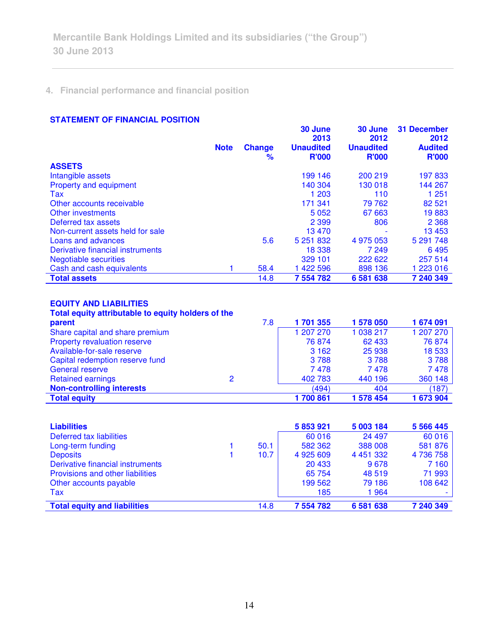# **4. Financial performance and financial position**

### **STATEMENT OF FINANCIAL POSITION**

|                                                    |             |                    | 30 June                          | 30 June                          | <b>31 December</b>             |
|----------------------------------------------------|-------------|--------------------|----------------------------------|----------------------------------|--------------------------------|
|                                                    |             |                    | 2013                             | 2012                             | 2012                           |
|                                                    | <b>Note</b> | <b>Change</b><br>℅ | <b>Unaudited</b><br><b>R'000</b> | <b>Unaudited</b><br><b>R'000</b> | <b>Audited</b><br><b>R'000</b> |
| <b>ASSETS</b>                                      |             |                    |                                  |                                  |                                |
| Intangible assets                                  |             |                    | 199 146                          | 200 219                          | 197833                         |
| Property and equipment                             |             |                    | 140 304                          | 130 018                          | 144 267                        |
| Tax                                                |             |                    | 1 203                            | 110                              | 1 251                          |
| Other accounts receivable                          |             |                    | 171 341                          | 79 762                           | 82 5 21                        |
| Other investments                                  |             |                    | 5 0 5 2                          | 67 663                           | 19883                          |
| Deferred tax assets                                |             |                    | 2 3 9 9                          | 806                              | 2 3 6 8                        |
| Non-current assets held for sale                   |             |                    | 13 4 70                          |                                  | 13 4 53                        |
| Loans and advances                                 |             | 5.6                | 5 251 832                        | 4 975 053                        | 5 291 748                      |
| Derivative financial instruments                   |             |                    | 18 338                           | 7 249                            | 6495                           |
| <b>Negotiable securities</b>                       |             |                    | 329 101                          | 222 622                          | 257 514                        |
| Cash and cash equivalents                          | 1           | 58.4               | 1 422 596                        | 898 136                          | 1 223 016                      |
| <b>Total assets</b>                                |             | 14.8               | 7 554 782                        | 6 581 638                        | 7 240 349                      |
|                                                    |             |                    |                                  |                                  |                                |
| <b>EQUITY AND LIABILITIES</b>                      |             |                    |                                  |                                  |                                |
| Total equity attributable to equity holders of the |             |                    |                                  |                                  |                                |
| parent                                             |             | 7.8                | 1701355                          | 1 578 050                        | 1674091                        |
| Share capital and share premium                    |             |                    | 1 207 270                        | 1 038 217                        | 1 207 270                      |
| Property revaluation reserve                       |             |                    | 76 874                           | 62 433                           | 76 874                         |
| Available-for-sale reserve                         |             |                    | 3 1 6 2                          | 25 938                           | 18 533                         |
| Capital redemption reserve fund                    |             |                    | 3788                             | 3788                             | 3788                           |
| <b>General reserve</b>                             |             |                    | 7478                             | 7478                             | 7478                           |
| <b>Retained earnings</b>                           | 2           |                    | 402 783                          | 440 196                          | 360 148                        |

| <b>Liabilities</b>                      |      | 5 853 921 | 5 003 184     | 5 5 6 4 4 4 5 |
|-----------------------------------------|------|-----------|---------------|---------------|
| Deferred tax liabilities                |      | 60 016    | 24 497        | 60 016        |
| Long-term funding                       | 50.1 | 582 362   | 388 008       | 581 876       |
| <b>Deposits</b>                         | 10.7 | 4 925 609 | 4 4 5 1 3 3 2 | 4 736 758     |
| Derivative financial instruments        |      | 20 433    | 9678          | 7 1 6 0       |
| <b>Provisions and other liabilities</b> |      | 65 754    | 48 519        | 71 993        |
| Other accounts payable                  |      | 199 562   | 79 186        | 108 642       |
| Tax                                     |      | 185       | 1964          |               |
| <b>Total equity and liabilities</b>     | 14.8 | 7 554 782 | 6 581 638     | 7 240 349     |

**Non-controlling interests** (494) 404 (187) **Total equity 1 700 861 1 578 454 1 673 904**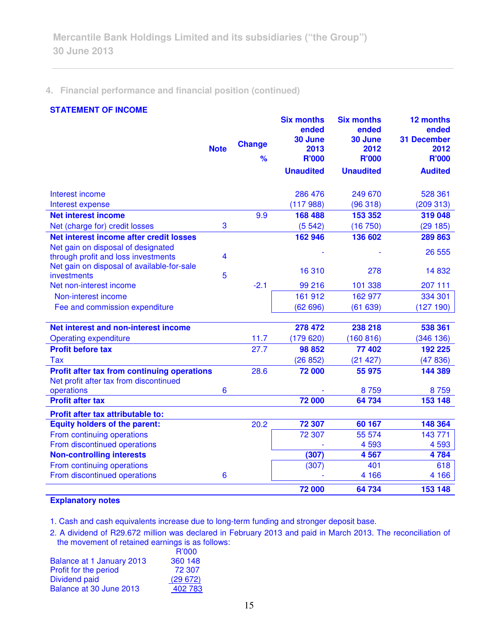# **4. Financial performance and financial position (continued)**

## **STATEMENT OF INCOME**

|                                                                           | <b>Note</b>             | <b>Change</b><br>$\frac{9}{6}$ | <b>Six months</b><br>ended<br>30 June<br>2013<br><b>R'000</b><br><b>Unaudited</b> | <b>Six months</b><br>ended<br>30 June<br>2012<br><b>R'000</b><br><b>Unaudited</b> | 12 months<br>ended<br><b>31 December</b><br>2012<br><b>R'000</b><br><b>Audited</b> |
|---------------------------------------------------------------------------|-------------------------|--------------------------------|-----------------------------------------------------------------------------------|-----------------------------------------------------------------------------------|------------------------------------------------------------------------------------|
|                                                                           |                         |                                |                                                                                   |                                                                                   |                                                                                    |
| Interest income                                                           |                         |                                | 286 476                                                                           | 249 670                                                                           | 528 361                                                                            |
| Interest expense                                                          |                         |                                | (117988)                                                                          | (96318)                                                                           | (209313)                                                                           |
| <b>Net interest income</b>                                                |                         | 9.9                            | 168 488                                                                           | 153 352                                                                           | 319 048                                                                            |
| Net (charge for) credit losses                                            | 3                       |                                | (5542)                                                                            | (16 750)                                                                          | (29185)                                                                            |
| Net interest income after credit losses                                   |                         |                                | 162 946                                                                           | 136 602                                                                           | 289 863                                                                            |
| Net gain on disposal of designated<br>through profit and loss investments | $\overline{\mathbf{4}}$ |                                |                                                                                   |                                                                                   | 26 555                                                                             |
| Net gain on disposal of available-for-sale<br>investments                 | 5                       |                                | 16 310                                                                            | 278                                                                               | 14832                                                                              |
| Net non-interest income                                                   |                         | $-2.1$                         | 99 216                                                                            | 101 338                                                                           | 207 111                                                                            |
| Non-interest income                                                       |                         |                                | 161 912                                                                           | 162 977                                                                           | 334 301                                                                            |
| Fee and commission expenditure                                            |                         |                                | (62696)                                                                           | (61639)                                                                           | (127190)                                                                           |
| Net interest and non-interest income                                      |                         |                                | 278 472                                                                           | 238 218                                                                           | 538 361                                                                            |
| <b>Operating expenditure</b>                                              |                         | 11.7                           | (179620)                                                                          | (160 816)                                                                         | (346 136)                                                                          |
| <b>Profit before tax</b>                                                  |                         | 27.7                           | 98 852                                                                            | 77 402                                                                            | 192 225                                                                            |
| <b>Tax</b>                                                                |                         |                                | (26 852)                                                                          | (21 427)                                                                          | (47836)                                                                            |
| <b>Profit after tax from continuing operations</b>                        |                         | 28.6                           | 72 000                                                                            | 55 975                                                                            | 144 389                                                                            |
| Net profit after tax from discontinued                                    |                         |                                |                                                                                   |                                                                                   |                                                                                    |
| operations                                                                | $6\phantom{1}6$         |                                |                                                                                   | 8759                                                                              | 8759                                                                               |
| <b>Profit after tax</b>                                                   |                         |                                | 72 000                                                                            | 64 734                                                                            | 153 148                                                                            |
| Profit after tax attributable to:                                         |                         |                                |                                                                                   |                                                                                   |                                                                                    |
| <b>Equity holders of the parent:</b>                                      |                         | 20.2                           | 72 307                                                                            | 60 167                                                                            | 148 364                                                                            |
| From continuing operations                                                |                         |                                | 72 307                                                                            | 55 574                                                                            | 143 771                                                                            |
| From discontinued operations                                              |                         |                                |                                                                                   | 4 5 9 3                                                                           | 4593                                                                               |
| <b>Non-controlling interests</b>                                          |                         |                                | (307)                                                                             | 4567                                                                              | 4784                                                                               |
| From continuing operations                                                |                         |                                | (307)                                                                             | 401                                                                               | 618                                                                                |
| From discontinued operations                                              | 6                       |                                |                                                                                   | 4 1 6 6                                                                           | 4 1 6 6                                                                            |
|                                                                           |                         |                                | 72 000                                                                            | 64734                                                                             | 153 148                                                                            |

# **Explanatory notes**

1. Cash and cash equivalents increase due to long-term funding and stronger deposit base.

2. A dividend of R29.672 million was declared in February 2013 and paid in March 2013. The reconciliation of the movement of retained earnings is as follows:

| R'000   |
|---------|
| 360 148 |
| 72 307  |
| (29672) |
| 402 783 |
|         |